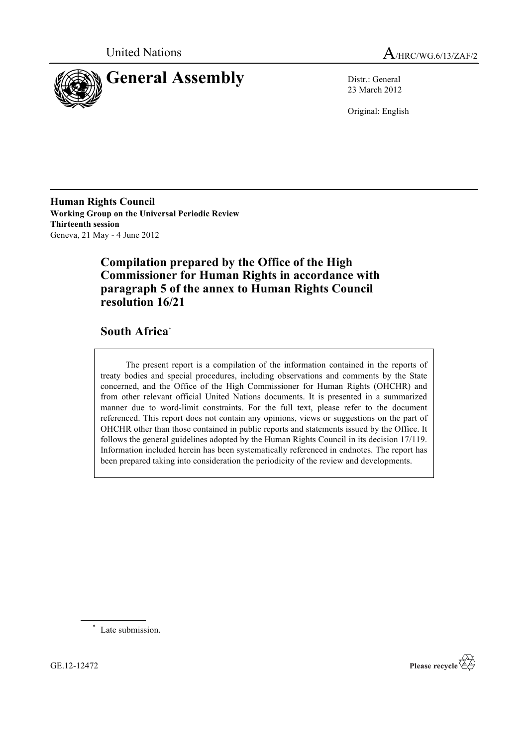



23 March 2012

Original: English

**Human Rights Council Working Group on the Universal Periodic Review Thirteenth session** Geneva, 21 May - 4 June 2012

# **Compilation prepared by the Office of the High Commissioner for Human Rights in accordance with paragraph 5 of the annex to Human Rights Council resolution 16/21**

# **South Africa**\*

The present report is a compilation of the information contained in the reports of treaty bodies and special procedures, including observations and comments by the State concerned, and the Office of the High Commissioner for Human Rights (OHCHR) and from other relevant official United Nations documents. It is presented in a summarized manner due to word-limit constraints. For the full text, please refer to the document referenced. This report does not contain any opinions, views or suggestions on the part of OHCHR other than those contained in public reports and statements issued by the Office. It follows the general guidelines adopted by the Human Rights Council in its decision 17/119. Information included herein has been systematically referenced in endnotes. The report has been prepared taking into consideration the periodicity of the review and developments.

\* Late submission.

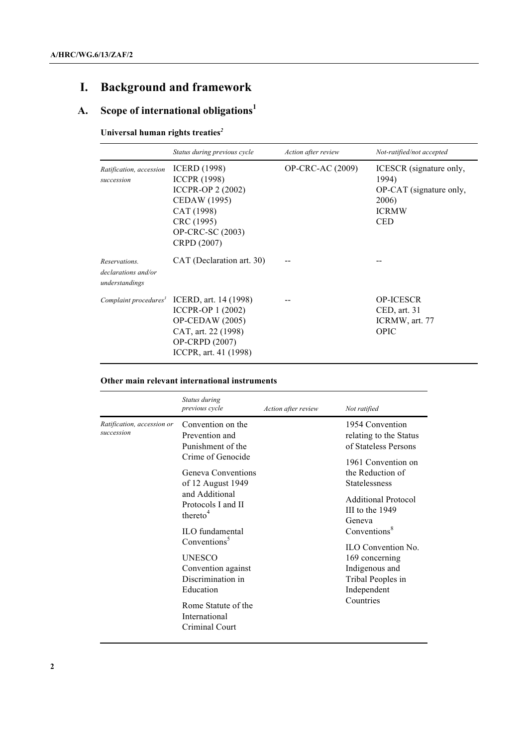# **I. Background and framework**

# **A. Scope of international obligations<sup>1</sup>**

# **Universal human rights treaties***<sup>2</sup>*

|                                                        | Status during previous cycle                                                                                                                                 | Action after review     | Not-ratified/not accepted                                                                          |
|--------------------------------------------------------|--------------------------------------------------------------------------------------------------------------------------------------------------------------|-------------------------|----------------------------------------------------------------------------------------------------|
| Ratification, accession<br>succession                  | <b>ICERD</b> (1998)<br><b>ICCPR (1998)</b><br><b>ICCPR-OP 2 (2002)</b><br>CEDAW (1995)<br>CAT (1998)<br>CRC (1995)<br><b>OP-CRC-SC</b> (2003)<br>CRPD (2007) | <b>OP-CRC-AC (2009)</b> | ICESCR (signature only,<br>1994)<br>OP-CAT (signature only,<br>2006)<br><b>ICRMW</b><br><b>CED</b> |
| Reservations.<br>declarations and/or<br>understandings | CAT (Declaration art. 30)                                                                                                                                    |                         |                                                                                                    |
| Complaint procedures <sup>3</sup>                      | ICERD, art. 14 (1998)<br>ICCPR-OP 1 (2002)<br>$OP$ -CEDAW (2005)<br>CAT, art. 22 (1998)<br><b>OP-CRPD</b> (2007)<br>ICCPR, art. 41 (1998)                    |                         | <b>OP-ICESCR</b><br>$\mathsf{CED}, \mathsf{art}.$ 31<br>ICRMW, art. 77<br>OPIC                     |

## **Other main relevant international instruments**

|                                          | Status during<br>previous cycle                                                                                                                                                                                                                                                                                                                                            | Action after review | Not ratified                                                                                                                                                                                                                                                                                                                   |
|------------------------------------------|----------------------------------------------------------------------------------------------------------------------------------------------------------------------------------------------------------------------------------------------------------------------------------------------------------------------------------------------------------------------------|---------------------|--------------------------------------------------------------------------------------------------------------------------------------------------------------------------------------------------------------------------------------------------------------------------------------------------------------------------------|
| Ratification, accession or<br>succession | Convention on the<br>Prevention and<br>Punishment of the<br>Crime of Genocide<br>Geneva Conventions<br>of 12 August 1949<br>and Additional<br>Protocols I and II<br>thereto <sup>4</sup><br>ILO fundamental<br>Conventions <sup>5</sup><br><b>UNESCO</b><br>Convention against<br>Discrimination in<br>Education<br>Rome Statute of the<br>International<br>Criminal Court |                     | 1954 Convention<br>relating to the Status<br>of Stateless Persons<br>1961 Convention on<br>the Reduction of<br>Statelessness<br>Additional Protocol<br>III to the 1949<br>Geneva<br>Conventions <sup>8</sup><br><b>ILO</b> Convention No.<br>169 concerning<br>Indigenous and<br>Tribal Peoples in<br>Independent<br>Countries |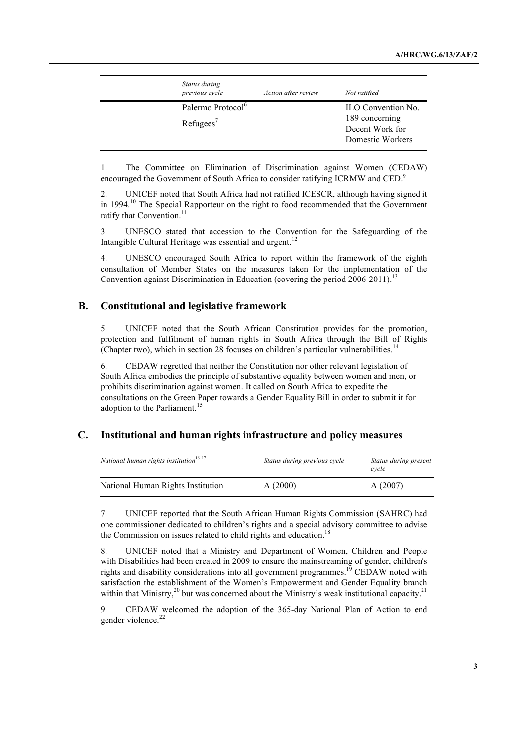| Status during<br>previous cycle | Action after review | Not ratified       |
|---------------------------------|---------------------|--------------------|
| Palermo Protocol <sup>6</sup>   |                     | ILO Convention No. |
|                                 |                     | 189 concerning     |
| Refuges'                        |                     | Decent Work for    |
|                                 |                     | Domestic Workers   |

1. The Committee on Elimination of Discrimination against Women (CEDAW) encouraged the Government of South Africa to consider ratifying ICRMW and CED.<sup>9</sup>

2. UNICEF noted that South Africa had not ratified ICESCR, although having signed it in 1994.<sup>10</sup> The Special Rapporteur on the right to food recommended that the Government ratify that Convention.<sup>11</sup>

3. UNESCO stated that accession to the Convention for the Safeguarding of the Intangible Cultural Heritage was essential and urgent. $12$ 

4. UNESCO encouraged South Africa to report within the framework of the eighth consultation of Member States on the measures taken for the implementation of the Convention against Discrimination in Education (covering the period  $2006-2011$ ).<sup>13</sup>

## **B. Constitutional and legislative framework**

5. UNICEF noted that the South African Constitution provides for the promotion, protection and fulfilment of human rights in South Africa through the Bill of Rights (Chapter two), which in section 28 focuses on children's particular vulnerabilities.<sup>14</sup>

6. CEDAW regretted that neither the Constitution nor other relevant legislation of South Africa embodies the principle of substantive equality between women and men, or prohibits discrimination against women. It called on South Africa to expedite the consultations on the Green Paper towards a Gender Equality Bill in order to submit it for adoption to the Parliament.<sup>15</sup>

#### **C. Institutional and human rights infrastructure and policy measures**

| National human rights institution <sup>16-17</sup> | Status during previous cycle | Status during present<br>cycle |
|----------------------------------------------------|------------------------------|--------------------------------|
| National Human Rights Institution                  | A(2000)                      | A(2007)                        |

7. UNICEF reported that the South African Human Rights Commission (SAHRC) had one commissioner dedicated to children's rights and a special advisory committee to advise the Commission on issues related to child rights and education.<sup>18</sup>

8. UNICEF noted that a Ministry and Department of Women, Children and People with Disabilities had been created in 2009 to ensure the mainstreaming of gender, children's rights and disability considerations into all government programmes.<sup>19</sup> CEDAW noted with satisfaction the establishment of the Women's Empowerment and Gender Equality branch within that Ministry,<sup>20</sup> but was concerned about the Ministry's weak institutional capacity.<sup>21</sup>

9. CEDAW welcomed the adoption of the 365-day National Plan of Action to end gender violence.<sup>22</sup>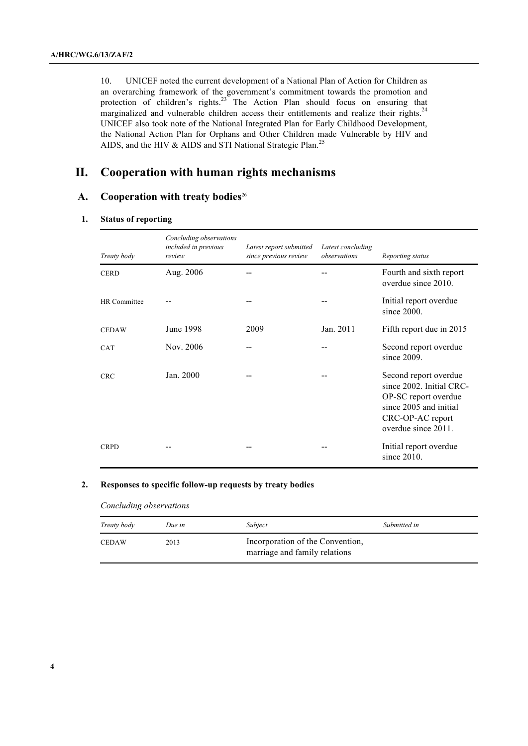10. UNICEF noted the current development of a National Plan of Action for Children as an overarching framework of the government's commitment towards the promotion and protection of children's rights. $23$  The Action Plan should focus on ensuring that marginalized and vulnerable children access their entitlements and realize their rights.<sup>24</sup> UNICEF also took note of the National Integrated Plan for Early Childhood Development, the National Action Plan for Orphans and Other Children made Vulnerable by HIV and AIDS, and the HIV & AIDS and STI National Strategic Plan.<sup>25</sup>

## **II. Cooperation with human rights mechanisms**

## **A. Cooperation with treaty bodies**<sup>26</sup>

#### **1. Status of reporting**

| Treaty body  | Concluding observations<br>included in previous<br>review | Latest report submitted<br>since previous review | Latest concluding<br>observations | Reporting status                                                                                                                               |
|--------------|-----------------------------------------------------------|--------------------------------------------------|-----------------------------------|------------------------------------------------------------------------------------------------------------------------------------------------|
| <b>CERD</b>  | Aug. 2006                                                 |                                                  |                                   | Fourth and sixth report<br>overdue since 2010.                                                                                                 |
| HR Committee |                                                           |                                                  |                                   | Initial report overdue<br>since $2000$ .                                                                                                       |
| <b>CEDAW</b> | June 1998                                                 | 2009                                             | Jan. 2011                         | Fifth report due in 2015                                                                                                                       |
| <b>CAT</b>   | Nov. 2006                                                 |                                                  |                                   | Second report overdue<br>since $2009$ .                                                                                                        |
| <b>CRC</b>   | Jan. 2000                                                 |                                                  |                                   | Second report overdue<br>since 2002. Initial CRC-<br>OP-SC report overdue<br>since 2005 and initial<br>CRC-OP-AC report<br>overdue since 2011. |
| <b>CRPD</b>  |                                                           |                                                  |                                   | Initial report overdue<br>since $2010$ .                                                                                                       |

#### **2. Responses to specific follow-up requests by treaty bodies**

*Concluding observations*

| Treaty body | Due in | Subject                                                           | Submitted in |
|-------------|--------|-------------------------------------------------------------------|--------------|
| CEDAW       | 2013   | Incorporation of the Convention,<br>marriage and family relations |              |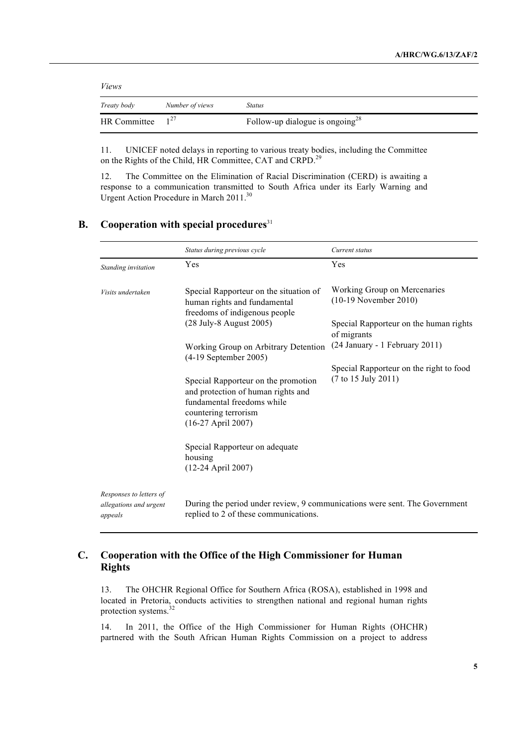| <i>Views</i> |                 |                                             |
|--------------|-----------------|---------------------------------------------|
| Treaty body  | Number of views | <b>Status</b>                               |
| HR Committee | 1 <sup>27</sup> | Follow-up dialogue is ongoing <sup>28</sup> |

11. UNICEF noted delays in reporting to various treaty bodies, including the Committee on the Rights of the Child, HR Committee, CAT and CRPD.<sup>29</sup>

12. The Committee on the Elimination of Racial Discrimination (CERD) is awaiting a response to a communication transmitted to South Africa under its Early Warning and Urgent Action Procedure in March 2011.<sup>30</sup>

## **B. Cooperation with special procedures**<sup>31</sup>

|                                                              | Status during previous cycle                                                                                                                            | Current status                                                 |
|--------------------------------------------------------------|---------------------------------------------------------------------------------------------------------------------------------------------------------|----------------------------------------------------------------|
| Standing invitation                                          | Yes                                                                                                                                                     | Yes                                                            |
| Visits undertaken                                            | Special Rapporteur on the situation of<br>human rights and fundamental<br>freedoms of indigenous people                                                 | Working Group on Mercenaries<br>$(10-19$ November 2010)        |
|                                                              | (28 July-8 August 2005)                                                                                                                                 | Special Rapporteur on the human rights<br>of migrants          |
|                                                              | Working Group on Arbitrary Detention<br>$(4-19$ September 2005)                                                                                         | (24 January - 1 February 2011)                                 |
|                                                              | Special Rapporteur on the promotion<br>and protection of human rights and<br>fundamental freedoms while<br>countering terrorism<br>$(16-27$ April 2007) | Special Rapporteur on the right to food<br>(7 to 15 July 2011) |
|                                                              | Special Rapporteur on adequate<br>housing<br>(12-24 April 2007)                                                                                         |                                                                |
| Responses to letters of<br>allegations and urgent<br>appeals | During the period under review, 9 communications were sent. The Government<br>replied to 2 of these communications.                                     |                                                                |

## **C. Cooperation with the Office of the High Commissioner for Human Rights**

13. The OHCHR Regional Office for Southern Africa (ROSA), established in 1998 and located in Pretoria, conducts activities to strengthen national and regional human rights protection systems.<sup>32</sup>

14. In 2011, the Office of the High Commissioner for Human Rights (OHCHR) partnered with the South African Human Rights Commission on a project to address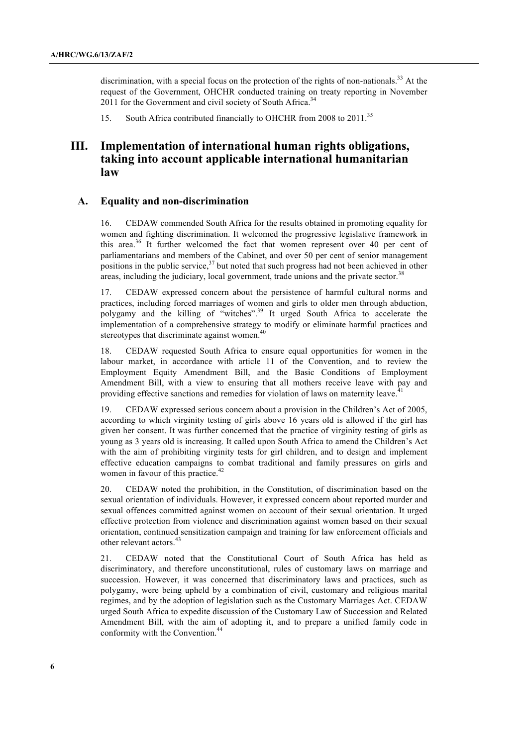discrimination, with a special focus on the protection of the rights of non-nationals.<sup>33</sup> At the request of the Government, OHCHR conducted training on treaty reporting in November 2011 for the Government and civil society of South Africa.<sup>34</sup>

15. South Africa contributed financially to OHCHR from 2008 to 2011.<sup>35</sup>

# **III. Implementation of international human rights obligations, taking into account applicable international humanitarian law**

#### **A. Equality and non-discrimination**

16. CEDAW commended South Africa for the results obtained in promoting equality for women and fighting discrimination. It welcomed the progressive legislative framework in this area.<sup>36</sup> It further welcomed the fact that women represent over 40 per cent of parliamentarians and members of the Cabinet, and over 50 per cent of senior management positions in the public service, $3^7$  but noted that such progress had not been achieved in other areas, including the judiciary, local government, trade unions and the private sector.<sup>38</sup>

17. CEDAW expressed concern about the persistence of harmful cultural norms and practices, including forced marriages of women and girls to older men through abduction, polygamy and the killing of "witches".<sup>39</sup> It urged South Africa to accelerate the implementation of a comprehensive strategy to modify or eliminate harmful practices and stereotypes that discriminate against women.<sup>40</sup>

18. CEDAW requested South Africa to ensure equal opportunities for women in the labour market, in accordance with article 11 of the Convention, and to review the Employment Equity Amendment Bill, and the Basic Conditions of Employment Amendment Bill, with a view to ensuring that all mothers receive leave with pay and providing effective sanctions and remedies for violation of laws on maternity leave.<sup>4</sup>

19. CEDAW expressed serious concern about a provision in the Children's Act of 2005, according to which virginity testing of girls above 16 years old is allowed if the girl has given her consent. It was further concerned that the practice of virginity testing of girls as young as 3 years old is increasing. It called upon South Africa to amend the Children's Act with the aim of prohibiting virginity tests for girl children, and to design and implement effective education campaigns to combat traditional and family pressures on girls and women in favour of this practice. $42$ 

20. CEDAW noted the prohibition, in the Constitution, of discrimination based on the sexual orientation of individuals. However, it expressed concern about reported murder and sexual offences committed against women on account of their sexual orientation. It urged effective protection from violence and discrimination against women based on their sexual orientation, continued sensitization campaign and training for law enforcement officials and other relevant actors.<sup>43</sup>

21. CEDAW noted that the Constitutional Court of South Africa has held as discriminatory, and therefore unconstitutional, rules of customary laws on marriage and succession. However, it was concerned that discriminatory laws and practices, such as polygamy, were being upheld by a combination of civil, customary and religious marital regimes, and by the adoption of legislation such as the Customary Marriages Act. CEDAW urged South Africa to expedite discussion of the Customary Law of Succession and Related Amendment Bill, with the aim of adopting it, and to prepare a unified family code in conformity with the Convention.<sup>44</sup>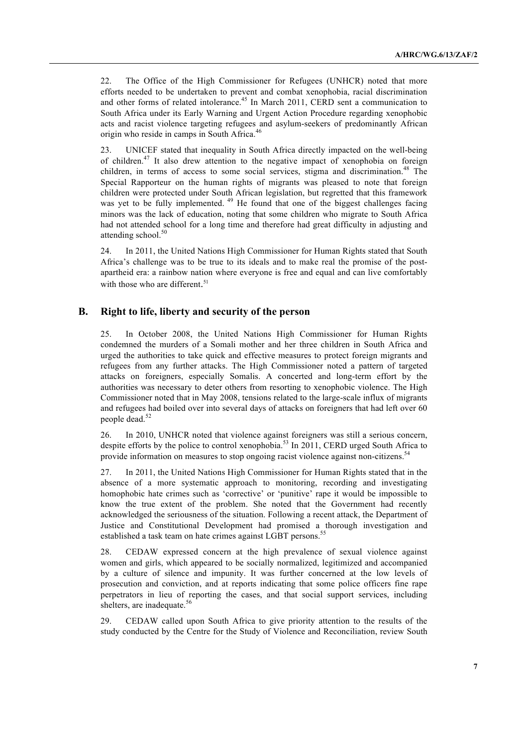22. The Office of the High Commissioner for Refugees (UNHCR) noted that more efforts needed to be undertaken to prevent and combat xenophobia, racial discrimination and other forms of related intolerance.<sup>45</sup> In March 2011, CERD sent a communication to South Africa under its Early Warning and Urgent Action Procedure regarding xenophobic acts and racist violence targeting refugees and asylum-seekers of predominantly African origin who reside in camps in South Africa.<sup>46</sup>

23. UNICEF stated that inequality in South Africa directly impacted on the well-being of children.47 It also drew attention to the negative impact of xenophobia on foreign children, in terms of access to some social services, stigma and discrimination.<sup>48</sup> The Special Rapporteur on the human rights of migrants was pleased to note that foreign children were protected under South African legislation, but regretted that this framework was yet to be fully implemented. <sup>49</sup> He found that one of the biggest challenges facing minors was the lack of education, noting that some children who migrate to South Africa had not attended school for a long time and therefore had great difficulty in adjusting and attending school. $50$ 

24. In 2011, the United Nations High Commissioner for Human Rights stated that South Africa's challenge was to be true to its ideals and to make real the promise of the postapartheid era: a rainbow nation where everyone is free and equal and can live comfortably with those who are different.<sup>51</sup>

#### **B. Right to life, liberty and security of the person**

25. In October 2008, the United Nations High Commissioner for Human Rights condemned the murders of a Somali mother and her three children in South Africa and urged the authorities to take quick and effective measures to protect foreign migrants and refugees from any further attacks. The High Commissioner noted a pattern of targeted attacks on foreigners, especially Somalis. A concerted and long-term effort by the authorities was necessary to deter others from resorting to xenophobic violence. The High Commissioner noted that in May 2008, tensions related to the large-scale influx of migrants and refugees had boiled over into several days of attacks on foreigners that had left over 60 people dead.<sup>52</sup>

26. In 2010, UNHCR noted that violence against foreigners was still a serious concern, despite efforts by the police to control xenophobia.<sup>53</sup> In 2011, CERD urged South Africa to provide information on measures to stop ongoing racist violence against non-citizens.<sup>54</sup>

27. In 2011, the United Nations High Commissioner for Human Rights stated that in the absence of a more systematic approach to monitoring, recording and investigating homophobic hate crimes such as 'corrective' or 'punitive' rape it would be impossible to know the true extent of the problem. She noted that the Government had recently acknowledged the seriousness of the situation. Following a recent attack, the Department of Justice and Constitutional Development had promised a thorough investigation and established a task team on hate crimes against LGBT persons.<sup>55</sup>

28. CEDAW expressed concern at the high prevalence of sexual violence against women and girls, which appeared to be socially normalized, legitimized and accompanied by a culture of silence and impunity. It was further concerned at the low levels of prosecution and conviction, and at reports indicating that some police officers fine rape perpetrators in lieu of reporting the cases, and that social support services, including shelters, are inadequate.<sup>56</sup>

29. CEDAW called upon South Africa to give priority attention to the results of the study conducted by the Centre for the Study of Violence and Reconciliation, review South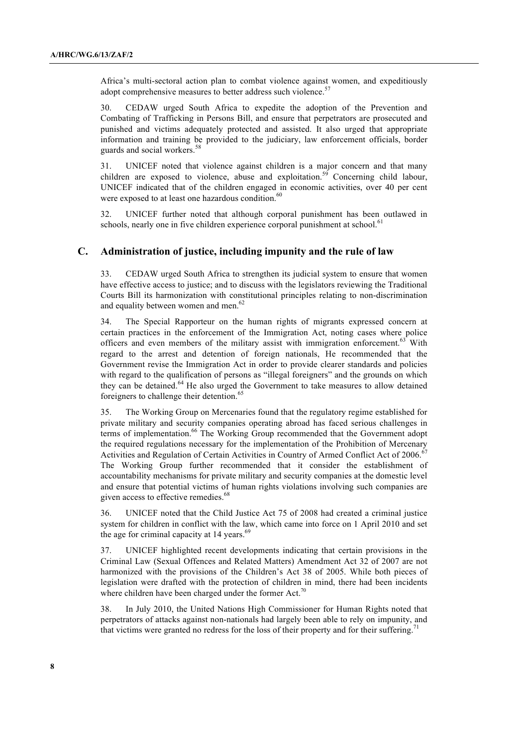Africa's multi-sectoral action plan to combat violence against women, and expeditiously adopt comprehensive measures to better address such violence.<sup>57</sup>

30. CEDAW urged South Africa to expedite the adoption of the Prevention and Combating of Trafficking in Persons Bill, and ensure that perpetrators are prosecuted and punished and victims adequately protected and assisted. It also urged that appropriate information and training be provided to the judiciary, law enforcement officials, border guards and social workers.<sup>58</sup>

31. UNICEF noted that violence against children is a major concern and that many children are exposed to violence, abuse and exploitation.<sup>59</sup> Concerning child labour, UNICEF indicated that of the children engaged in economic activities, over 40 per cent were exposed to at least one hazardous condition.<sup>60</sup>

32. UNICEF further noted that although corporal punishment has been outlawed in schools, nearly one in five children experience corporal punishment at school.<sup>6</sup>

### **C. Administration of justice, including impunity and the rule of law**

33. CEDAW urged South Africa to strengthen its judicial system to ensure that women have effective access to justice; and to discuss with the legislators reviewing the Traditional Courts Bill its harmonization with constitutional principles relating to non-discrimination and equality between women and men.<sup>62</sup>

34. The Special Rapporteur on the human rights of migrants expressed concern at certain practices in the enforcement of the Immigration Act, noting cases where police officers and even members of the military assist with immigration enforcement.<sup>63</sup> With regard to the arrest and detention of foreign nationals, He recommended that the Government revise the Immigration Act in order to provide clearer standards and policies with regard to the qualification of persons as "illegal foreigners" and the grounds on which they can be detained.<sup>64</sup> He also urged the Government to take measures to allow detained foreigners to challenge their detention.<sup>65</sup>

35. The Working Group on Mercenaries found that the regulatory regime established for private military and security companies operating abroad has faced serious challenges in terms of implementation.<sup>66</sup> The Working Group recommended that the Government adopt the required regulations necessary for the implementation of the Prohibition of Mercenary Activities and Regulation of Certain Activities in Country of Armed Conflict Act of 2006.<sup>67</sup> The Working Group further recommended that it consider the establishment of accountability mechanisms for private military and security companies at the domestic level and ensure that potential victims of human rights violations involving such companies are given access to effective remedies.<sup>68</sup>

36. UNICEF noted that the Child Justice Act 75 of 2008 had created a criminal justice system for children in conflict with the law, which came into force on 1 April 2010 and set the age for criminal capacity at  $14$  years.<sup>69</sup>

37. UNICEF highlighted recent developments indicating that certain provisions in the Criminal Law (Sexual Offences and Related Matters) Amendment Act 32 of 2007 are not harmonized with the provisions of the Children's Act 38 of 2005. While both pieces of legislation were drafted with the protection of children in mind, there had been incidents where children have been charged under the former Act.<sup>70</sup>

38. In July 2010, the United Nations High Commissioner for Human Rights noted that perpetrators of attacks against non-nationals had largely been able to rely on impunity, and that victims were granted no redress for the loss of their property and for their suffering.<sup>71</sup>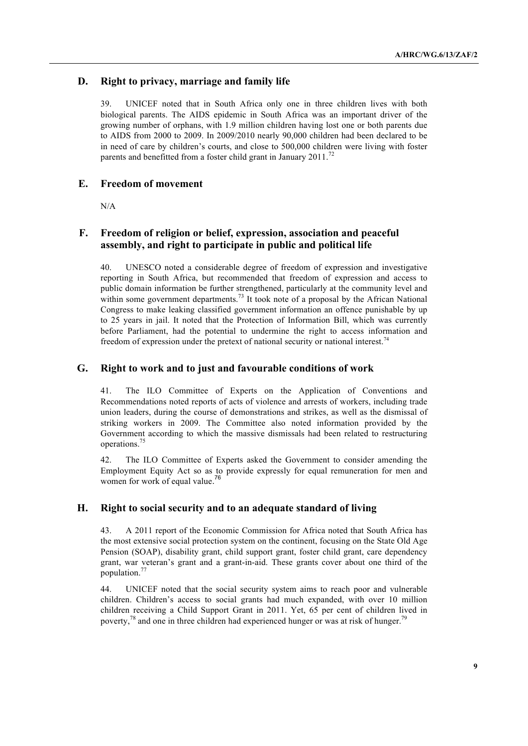## **D. Right to privacy, marriage and family life**

39. UNICEF noted that in South Africa only one in three children lives with both biological parents. The AIDS epidemic in South Africa was an important driver of the growing number of orphans, with 1.9 million children having lost one or both parents due to AIDS from 2000 to 2009. In 2009/2010 nearly 90,000 children had been declared to be in need of care by children's courts, and close to 500,000 children were living with foster parents and benefitted from a foster child grant in January  $2011$ .<sup>72</sup>

### **E. Freedom of movement**

N/A

## **F. Freedom of religion or belief, expression, association and peaceful assembly, and right to participate in public and political life**

40. UNESCO noted a considerable degree of freedom of expression and investigative reporting in South Africa, but recommended that freedom of expression and access to public domain information be further strengthened, particularly at the community level and within some government departments.<sup>73</sup> It took note of a proposal by the African National Congress to make leaking classified government information an offence punishable by up to 25 years in jail. It noted that the Protection of Information Bill, which was currently before Parliament, had the potential to undermine the right to access information and freedom of expression under the pretext of national security or national interest.<sup>74</sup>

## **G. Right to work and to just and favourable conditions of work**

41. The ILO Committee of Experts on the Application of Conventions and Recommendations noted reports of acts of violence and arrests of workers, including trade union leaders, during the course of demonstrations and strikes, as well as the dismissal of striking workers in 2009. The Committee also noted information provided by the Government according to which the massive dismissals had been related to restructuring operations.75

42. The ILO Committee of Experts asked the Government to consider amending the Employment Equity Act so as to provide expressly for equal remuneration for men and women for work of equal value.<sup>76</sup>

## **H. Right to social security and to an adequate standard of living**

43. A 2011 report of the Economic Commission for Africa noted that South Africa has the most extensive social protection system on the continent, focusing on the State Old Age Pension (SOAP), disability grant, child support grant, foster child grant, care dependency grant, war veteran's grant and a grant-in-aid. These grants cover about one third of the population.<sup>77</sup>

44. UNICEF noted that the social security system aims to reach poor and vulnerable children. Children's access to social grants had much expanded, with over 10 million children receiving a Child Support Grant in 2011. Yet, 65 per cent of children lived in poverty, $78$  and one in three children had experienced hunger or was at risk of hunger.<sup>79</sup>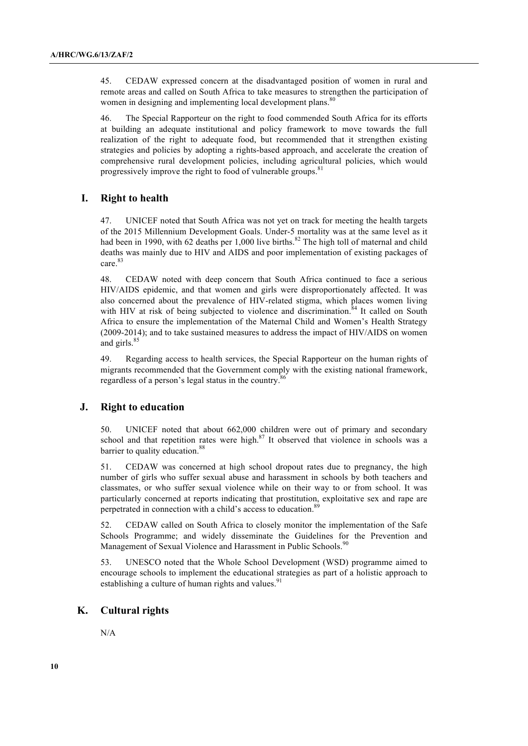45. CEDAW expressed concern at the disadvantaged position of women in rural and remote areas and called on South Africa to take measures to strengthen the participation of women in designing and implementing local development plans.<sup>80</sup>

46. The Special Rapporteur on the right to food commended South Africa for its efforts at building an adequate institutional and policy framework to move towards the full realization of the right to adequate food, but recommended that it strengthen existing strategies and policies by adopting a rights-based approach, and accelerate the creation of comprehensive rural development policies, including agricultural policies, which would progressively improve the right to food of vulnerable groups.<sup>81</sup>

#### **I. Right to health**

47. UNICEF noted that South Africa was not yet on track for meeting the health targets of the 2015 Millennium Development Goals. Under-5 mortality was at the same level as it had been in 1990, with 62 deaths per 1,000 live births.<sup>82</sup> The high toll of maternal and child deaths was mainly due to HIV and AIDS and poor implementation of existing packages of care.<sup>83</sup>

48. CEDAW noted with deep concern that South Africa continued to face a serious HIV/AIDS epidemic, and that women and girls were disproportionately affected. It was also concerned about the prevalence of HIV-related stigma, which places women living with HIV at risk of being subjected to violence and discrimination.<sup>84</sup> It called on South Africa to ensure the implementation of the Maternal Child and Women's Health Strategy (2009-2014); and to take sustained measures to address the impact of HIV/AIDS on women and girls.<sup>85</sup>

49. Regarding access to health services, the Special Rapporteur on the human rights of migrants recommended that the Government comply with the existing national framework, regardless of a person's legal status in the country.<sup>86</sup>

### **J. Right to education**

50. UNICEF noted that about 662,000 children were out of primary and secondary school and that repetition rates were high. $87$  It observed that violence in schools was a barrier to quality education.<sup>88</sup>

51. CEDAW was concerned at high school dropout rates due to pregnancy, the high number of girls who suffer sexual abuse and harassment in schools by both teachers and classmates, or who suffer sexual violence while on their way to or from school. It was particularly concerned at reports indicating that prostitution, exploitative sex and rape are perpetrated in connection with a child's access to education.<sup>89</sup>

52. CEDAW called on South Africa to closely monitor the implementation of the Safe Schools Programme; and widely disseminate the Guidelines for the Prevention and Management of Sexual Violence and Harassment in Public Schools.<sup>90</sup>

53. UNESCO noted that the Whole School Development (WSD) programme aimed to encourage schools to implement the educational strategies as part of a holistic approach to establishing a culture of human rights and values.<sup>91</sup>

## **K. Cultural rights**

N/A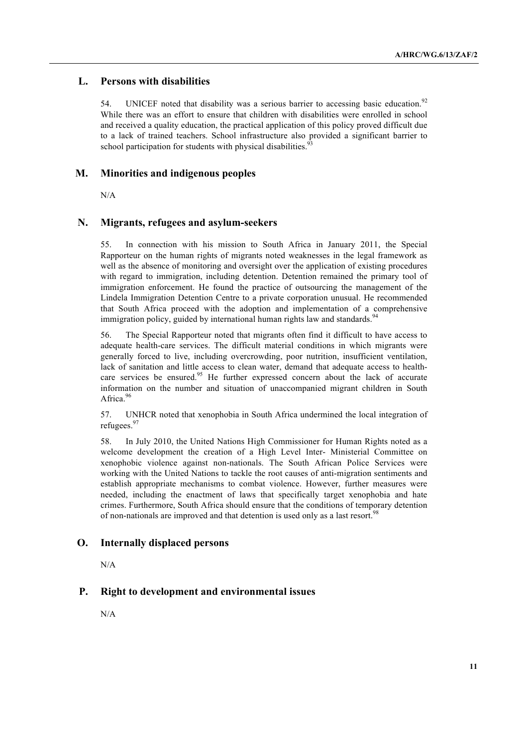## **L. Persons with disabilities**

54. UNICEF noted that disability was a serious barrier to accessing basic education.<sup>92</sup> While there was an effort to ensure that children with disabilities were enrolled in school and received a quality education, the practical application of this policy proved difficult due to a lack of trained teachers. School infrastructure also provided a significant barrier to school participation for students with physical disabilities.

#### **M. Minorities and indigenous peoples**

N/A

#### **N. Migrants, refugees and asylum-seekers**

55. In connection with his mission to South Africa in January 2011, the Special Rapporteur on the human rights of migrants noted weaknesses in the legal framework as well as the absence of monitoring and oversight over the application of existing procedures with regard to immigration, including detention. Detention remained the primary tool of immigration enforcement. He found the practice of outsourcing the management of the Lindela Immigration Detention Centre to a private corporation unusual. He recommended that South Africa proceed with the adoption and implementation of a comprehensive immigration policy, guided by international human rights law and standards.<sup>94</sup>

56. The Special Rapporteur noted that migrants often find it difficult to have access to adequate health-care services. The difficult material conditions in which migrants were generally forced to live, including overcrowding, poor nutrition, insufficient ventilation, lack of sanitation and little access to clean water, demand that adequate access to healthcare services be ensured.<sup>95</sup> He further expressed concern about the lack of accurate information on the number and situation of unaccompanied migrant children in South Africa.<sup>96</sup>

57. UNHCR noted that xenophobia in South Africa undermined the local integration of refugees.<sup>97</sup>

58. In July 2010, the United Nations High Commissioner for Human Rights noted as a welcome development the creation of a High Level Inter- Ministerial Committee on xenophobic violence against non-nationals. The South African Police Services were working with the United Nations to tackle the root causes of anti-migration sentiments and establish appropriate mechanisms to combat violence. However, further measures were needed, including the enactment of laws that specifically target xenophobia and hate crimes. Furthermore, South Africa should ensure that the conditions of temporary detention of non-nationals are improved and that detention is used only as a last resort.<sup>98</sup>

#### **O. Internally displaced persons**

N/A

#### **P. Right to development and environmental issues**

N/A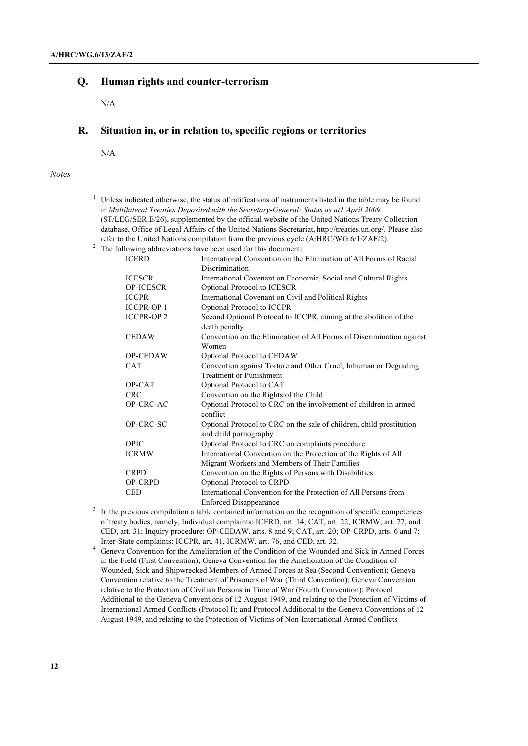#### **Q. Human rights and counter-terrorism**

N/A

## **R. Situation in, or in relation to, specific regions or territories**

N/A

#### *Notes*

|              | Unless indicated otherwise, the status of ratifications of instruments listed in the table may be found   |
|--------------|-----------------------------------------------------------------------------------------------------------|
|              | in Multilateral Treaties Deposited with the Secretary-General: Status as atl April 2009                   |
|              | (ST/LEG/SER.E/26), supplemented by the official website of the United Nations Treaty Collection           |
|              | database, Office of Legal Affairs of the United Nations Secretariat, http://treaties.un.org/. Please also |
|              | refer to the United Nations compilation from the previous cycle $(A/HRC/WG.6/1/ZAF/2)$ .                  |
|              | <sup>2</sup> The following abbreviations have been used for this document:                                |
| <b>ICERD</b> | International Convention on the Elimination of All Forms of Racial                                        |
|              | Discrimination                                                                                            |

|                   | Discrimination                                                       |
|-------------------|----------------------------------------------------------------------|
| <b>ICESCR</b>     | International Covenant on Economic, Social and Cultural Rights       |
| <b>OP-ICESCR</b>  | Optional Protocol to ICESCR                                          |
| <b>ICCPR</b>      | International Covenant on Civil and Political Rights                 |
| <b>ICCPR-OP 1</b> | Optional Protocol to ICCPR                                           |
| <b>ICCPR-OP2</b>  | Second Optional Protocol to ICCPR, aiming at the abolition of the    |
|                   | death penalty                                                        |
| <b>CEDAW</b>      | Convention on the Elimination of All Forms of Discrimination against |
|                   | Women                                                                |
| <b>OP-CEDAW</b>   | Optional Protocol to CEDAW                                           |
| <b>CAT</b>        | Convention against Torture and Other Cruel, Inhuman or Degrading     |
|                   | <b>Treatment or Punishment</b>                                       |
| OP-CAT            | Optional Protocol to CAT                                             |
| <b>CRC</b>        | Convention on the Rights of the Child                                |
| OP-CRC-AC         | Optional Protocol to CRC on the involvement of children in armed     |
|                   | conflict                                                             |
| OP-CRC-SC         | Optional Protocol to CRC on the sale of children, child prostitution |
|                   | and child pornography                                                |
| OPIC              | Optional Protocol to CRC on complaints procedure                     |
| <b>ICRMW</b>      | International Convention on the Protection of the Rights of All      |
|                   | Migrant Workers and Members of Their Families                        |
| <b>CRPD</b>       | Convention on the Rights of Persons with Disabilities                |
| <b>OP-CRPD</b>    | Optional Protocol to CRPD                                            |
| <b>CED</b>        | International Convention for the Protection of All Persons from      |
|                   | <b>Enforced Disappearance</b>                                        |

- <sup>3</sup> In the previous compilation a table contained information on the recognition of specific competences of treaty bodies, namely, Individual complaints: ICERD, art. 14, CAT, art. 22, ICRMW, art. 77, and CED, art. 31; Inquiry procedure: OP-CEDAW, arts. 8 and 9; CAT, art. 20; OP-CRPD, arts. 6 and 7; Inter-State complaints: ICCPR, art. 41, ICRMW, art. 76, and CED, art. 32.
- He Complaints. Let  $\alpha$ , are  $\alpha$ , externed and  $\alpha$ , and  $\alpha$ , and  $\alpha$ , and  $\alpha$ . in the Field (First Convention); Geneva Convention for the Amelioration of the Condition of Wounded, Sick and Shipwrecked Members of Armed Forces at Sea (Second Convention); Geneva Convention relative to the Treatment of Prisoners of War (Third Convention); Geneva Convention relative to the Protection of Civilian Persons in Time of War (Fourth Convention); Protocol Additional to the Geneva Conventions of 12 August 1949, and relating to the Protection of Victims of International Armed Conflicts (Protocol I); and Protocol Additional to the Geneva Conventions of 12 August 1949, and relating to the Protection of Victims of Non-International Armed Conflicts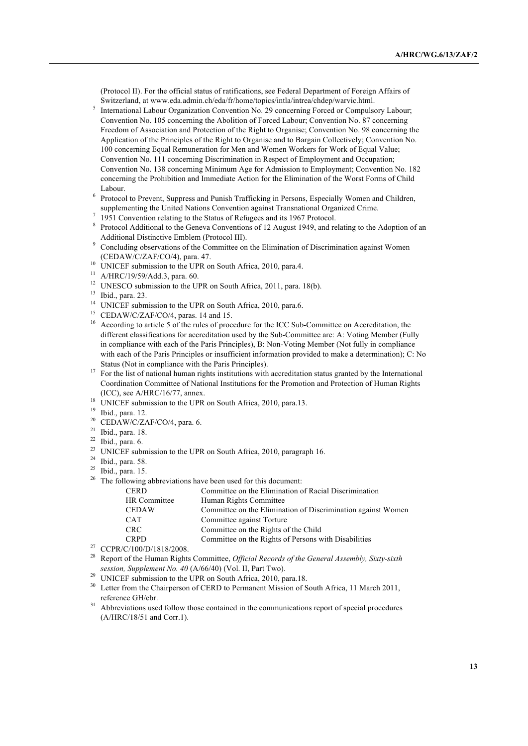(Protocol II). For the official status of ratifications, see Federal Department of Foreign Affairs of Switzerland, at www.eda.admin.ch/eda/fr/home/topics/intla/intrea/chdep/warvic.html.

- <sup>5</sup> International Labour Organization Convention No. 29 concerning Forced or Compulsory Labour; Convention No. 105 concerning the Abolition of Forced Labour; Convention No. 87 concerning Freedom of Association and Protection of the Right to Organise; Convention No. 98 concerning the Application of the Principles of the Right to Organise and to Bargain Collectively; Convention No. 100 concerning Equal Remuneration for Men and Women Workers for Work of Equal Value; Convention No. 111 concerning Discrimination in Respect of Employment and Occupation; Convention No. 138 concerning Minimum Age for Admission to Employment; Convention No. 182 concerning the Prohibition and Immediate Action for the Elimination of the Worst Forms of Child Labour.
- <sup>6</sup> Protocol to Prevent, Suppress and Punish Trafficking in Persons, Especially Women and Children, supplementing the United Nations Convention against Transnational Organized Crime.<br>1951 Convention relating to the Status of Refugees and its 1967 Protocol.
- 
- <sup>7</sup> 1951 Convention relating to the Status of Refugees and its 1967 Protocol.<br><sup>8</sup> Protocol Additional to the Geneva Conventions of 12 August 1949, and relating to the Adoption of an
- <sup>9</sup> Concluding observations of the Committee on the Elimination of Discrimination against Women (CEDAW/C/ZAF/CO/4), para. 47.
- <sup>10</sup> UNICEF submission to the UPR on South Africa, 2010, para.4.
- <sup>11</sup> A/HRC/19/59/Add.3, para. 60.
- <sup>12</sup> UNESCO submission to the UPR on South Africa, 2011, para. 18(b).
- <sup>13</sup> Ibid., para. 23.
- <sup>14</sup> UNICEF submission to the UPR on South Africa, 2010, para.6.
- <sup>15</sup> CEDAW/C/ZAF/CO/4, paras. 14 and 15.
- <sup>16</sup> According to article 5 of the rules of procedure for the ICC Sub-Committee on Accreditation, the different classifications for accreditation used by the Sub-Committee are: A: Voting Member (Fully in compliance with each of the Paris Principles), B: Non-Voting Member (Not fully in compliance with each of the Paris Principles or insufficient information provided to make a determination); C: No Status (Not in compliance with the Paris Principles).
- <sup>17</sup> For the list of national human rights institutions with accreditation status granted by the International Coordination Committee of National Institutions for the Promotion and Protection of Human Rights (ICC), see A/HRC/16/77, annex.
- <sup>18</sup> UNICEF submission to the UPR on South Africa, 2010, para.13.
- <sup>19</sup> Ibid., para. 12.
- <sup>20</sup> CEDAW/C/ZAF/CO/4, para. 6.
- <sup>21</sup> Ibid., para. 18.
- $22$  Ibid., para. 6.
- <sup>23</sup> UNICEF submission to the UPR on South Africa, 2010, paragraph 16.
- <sup>24</sup> Ibid., para. 58.
- $25$  Ibid., para. 15.
- <sup>26</sup> The following abbreviations have been used for this document:

| <b>CERD</b>              | Committee on the Elimination of Racial Discrimination        |
|--------------------------|--------------------------------------------------------------|
| HR Committee             | Human Rights Committee                                       |
| <b>CEDAW</b>             | Committee on the Elimination of Discrimination against Women |
| <b>CAT</b>               | Committee against Torture                                    |
| <b>CRC</b>               | Committee on the Rights of the Child                         |
| <b>CRPD</b>              | Committee on the Rights of Persons with Disabilities         |
| (0.1100)(0.11010)(0.000) |                                                              |

- <sup>27</sup> CCPR/C/100/D/1818/2008.
- <sup>28</sup> Report of the Human Rights Committee, *Official Records of the General Assembly, Sixty-sixth session, Supplement No. 40* (A/66/40) (Vol. II, Part Two).
- <sup>29</sup> UNICEF submission to the UPR on South Africa, 2010, para.18.
- <sup>30</sup> Letter from the Chairperson of CERD to Permanent Mission of South Africa, 11 March 2011, reference GH/cbr.
- <sup>31</sup> Abbreviations used follow those contained in the communications report of special procedures (A/HRC/18/51 and Corr.1).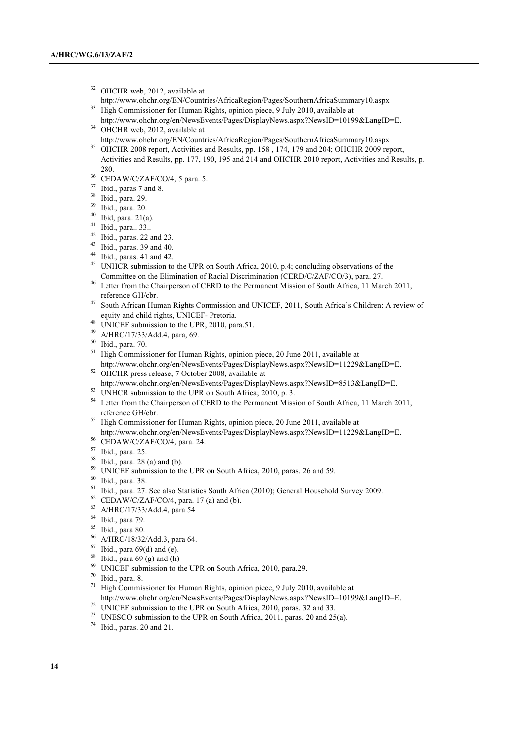- <sup>32</sup> OHCHR web, 2012, available at
- http://www.ohchr.org/EN/Countries/AfricaRegion/Pages/SouthernAfricaSummary10.aspx <sup>33</sup> High Commissioner for Human Rights, opinion piece, 9 July 2010, available at
- http://www.ohchr.org/en/NewsEvents/Pages/DisplayNews.aspx?NewsID=10199&LangID=E.  $34$  OHCHR web, 2012, available at
- http://www.ohchr.org/EN/Countries/AfricaRegion/Pages/SouthernAfricaSummary10.aspx
- <sup>35</sup> OHCHR 2008 report, Activities and Results, pp. 158, 174, 179 and 204; OHCHR 2009 report, Activities and Results, pp. 177, 190, 195 and 214 and OHCHR 2010 report, Activities and Results, p. 280. 36 CEDAW/C/ZAF/CO/4, 5 para. 5.
- 
- <sup>37</sup> Ibid., paras 7 and 8.
- <sup>38</sup> Ibid., para. 29.
- <sup>39</sup> Ibid., para. 20.
- <sup>40</sup> Ibid, para. 21(a).
- <sup>41</sup> Ibid., para.. 33..
- $42$  Ibid., paras. 22 and 23.
- $43$  Ibid., paras. 39 and 40.
- $44$  Ibid., paras. 41 and 42.
- <sup>45</sup> UNHCR submission to the UPR on South Africa, 2010, p.4; concluding observations of the Committee on the Elimination of Racial Discrimination (CERD/C/ZAF/CO/3), para. 27.
- <sup>46</sup> Letter from the Chairperson of CERD to the Permanent Mission of South Africa, 11 March 2011, reference GH/cbr.
- <sup>47</sup> South African Human Rights Commission and UNICEF, 2011, South Africa's Children: A review of equity and child rights, UNICEF- Pretoria.
- <sup>48</sup> UNICEF submission to the UPR, 2010, para.51.
- <sup>49</sup> A/HRC/17/33/Add.4, para, 69. 50 Ibid., para. 70.
- 
- <sup>51</sup> High Commissioner for Human Rights, opinion piece, 20 June 2011, available at http://www.ohchr.org/en/NewsEvents/Pages/DisplayNews.aspx?NewsID=11229&LangID=E.
- <sup>52</sup> OHCHR press release, 7 October 2008, available at http://www.ohchr.org/en/NewsEvents/Pages/DisplayNews.aspx?NewsID=8513&LangID=E.
- <sup>53</sup> UNHCR submission to the UPR on South Africa; 2010, p. 3.
- <sup>54</sup> Letter from the Chairperson of CERD to the Permanent Mission of South Africa, 11 March 2011, reference GH/cbr.
- <sup>55</sup> High Commissioner for Human Rights, opinion piece, 20 June 2011, available at http://www.ohchr.org/en/NewsEvents/Pages/DisplayNews.aspx?NewsID=11229&LangID=E.
- <sup>56</sup> CEDAW/C/ZAF/CO/4, para. 24.
- <sup>57</sup> Ibid., para. 25.
- <sup>58</sup> Ibid., para. 28 (a) and (b).
- <sup>59</sup> UNICEF submission to the UPR on South Africa, 2010, paras. 26 and 59.
- <sup>60</sup> Ibid., para. 38.
- <sup>61</sup> Ibid., para. 27. See also Statistics South Africa (2010); General Household Survey 2009.
- <sup>62</sup> CEDAW/C/ZAF/CO/4, para. 17 (a) and (b).<br><sup>63</sup> A/HDC/17/22/Add 4, name 54
- <sup>63</sup> A/HRC/17/33/Add.4, para 54
- <sup>64</sup> Ibid., para 79.
- $^{65}$  Ibid., para 80.
- $^{66}$  A/HRC/18/32/Add.3, para 64.
- Ibid., para  $69(d)$  and (e).
- $68$  Ibid., para 69 (g) and (h)
- $^{69}$  UNICEF submission to the UPR on South Africa, 2010, para.29.<br><sup>70</sup> Ibid. para. 8
- Ibid., para. 8.
- <sup>71</sup> High Commissioner for Human Rights, opinion piece, 9 July 2010, available at http://www.ohchr.org/en/NewsEvents/Pages/DisplayNews.aspx?NewsID=10199&LangID=E.
- <sup>72</sup> UNICEF submission to the UPR on South Africa, 2010, paras. 32 and 33.
- <sup>73</sup> UNESCO submission to the UPR on South Africa, 2011, paras. 20 and 25(a).
- <sup>74</sup> Ibid., paras. 20 and 21.